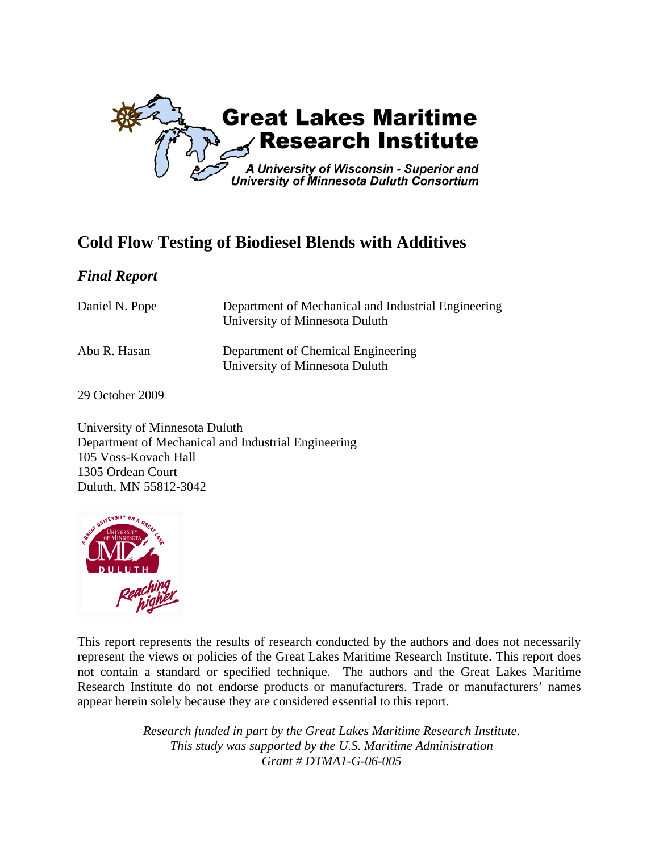

# **Cold Flow Testing of Biodiesel Blends with Additives**

### *Final Report*

| Daniel N. Pope | Department of Mechanical and Industrial Engineering<br>University of Minnesota Duluth |
|----------------|---------------------------------------------------------------------------------------|
| Abu R. Hasan   | Department of Chemical Engineering<br>University of Minnesota Duluth                  |

29 October 2009

University of Minnesota Duluth Department of Mechanical and Industrial Engineering 105 Voss-Kovach Hall 1305 Ordean Court Duluth, MN 55812-3042



This report represents the results of research conducted by the authors and does not necessarily represent the views or policies of the Great Lakes Maritime Research Institute. This report does not contain a standard or specified technique. The authors and the Great Lakes Maritime Research Institute do not endorse products or manufacturers. Trade or manufacturers' names appear herein solely because they are considered essential to this report.

> *Research funded in part by the Great Lakes Maritime Research Institute. This study was supported by the U.S. Maritime Administration Grant # DTMA1-G-06-005*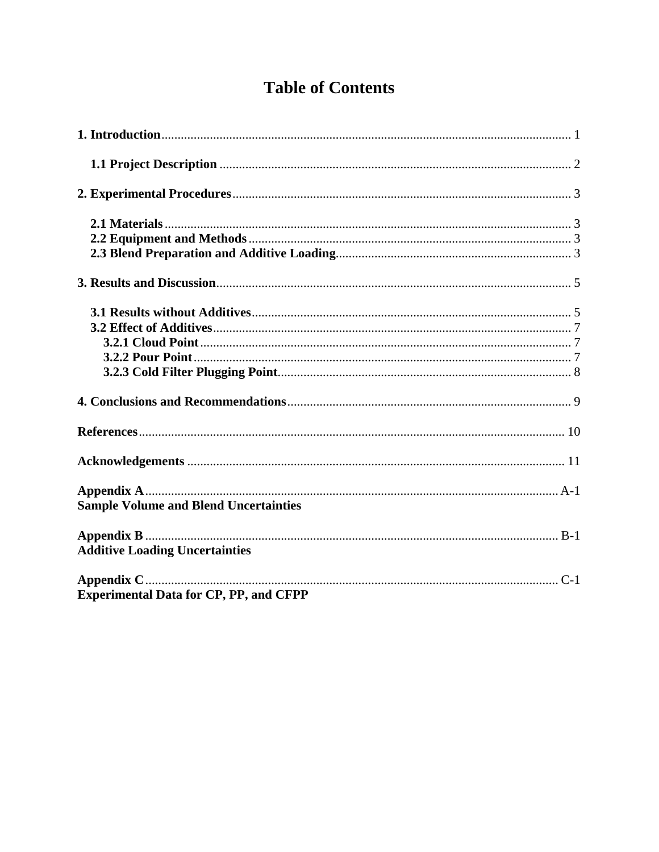# **Table of Contents**

| <b>Sample Volume and Blend Uncertainties</b>  |  |
|-----------------------------------------------|--|
| <b>Additive Loading Uncertainties</b>         |  |
| <b>Experimental Data for CP, PP, and CFPP</b> |  |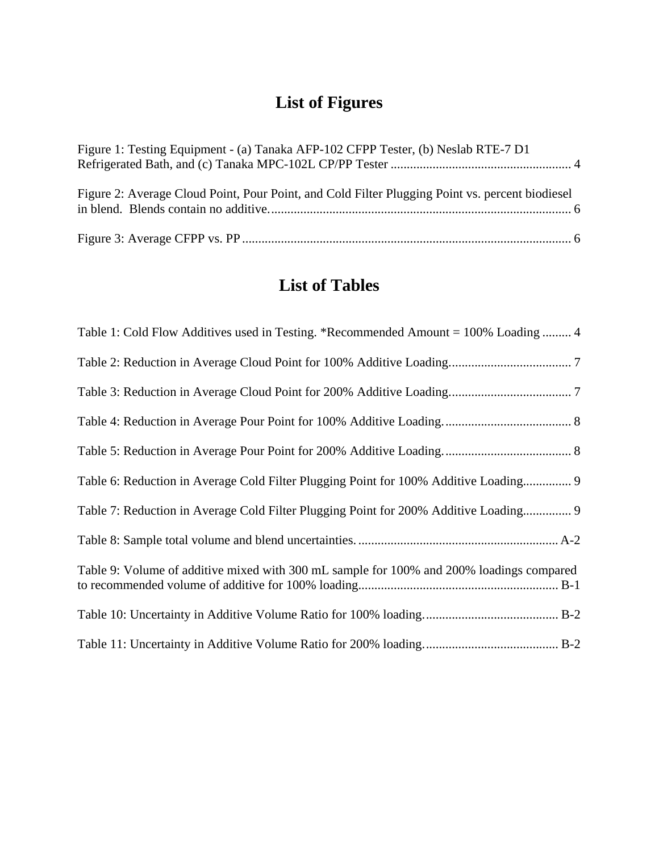# **List of Figures**

| Figure 1: Testing Equipment - (a) Tanaka AFP-102 CFPP Tester, (b) Neslab RTE-7 D1               |  |
|-------------------------------------------------------------------------------------------------|--|
| Figure 2: Average Cloud Point, Pour Point, and Cold Filter Plugging Point vs. percent biodiesel |  |
|                                                                                                 |  |

# **List of Tables**

| Table 1: Cold Flow Additives used in Testing. *Recommended Amount = 100% Loading  4      |
|------------------------------------------------------------------------------------------|
|                                                                                          |
|                                                                                          |
|                                                                                          |
|                                                                                          |
| Table 6: Reduction in Average Cold Filter Plugging Point for 100% Additive Loading 9     |
| Table 7: Reduction in Average Cold Filter Plugging Point for 200% Additive Loading 9     |
|                                                                                          |
| Table 9: Volume of additive mixed with 300 mL sample for 100% and 200% loadings compared |
|                                                                                          |
|                                                                                          |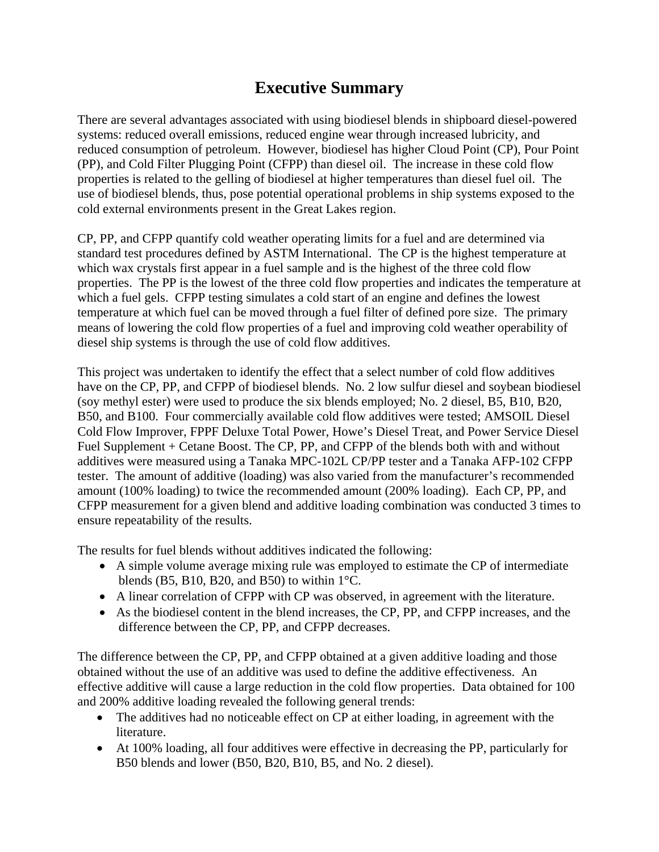# **Executive Summary**

There are several advantages associated with using biodiesel blends in shipboard diesel-powered systems: reduced overall emissions, reduced engine wear through increased lubricity, and reduced consumption of petroleum. However, biodiesel has higher Cloud Point (CP), Pour Point (PP), and Cold Filter Plugging Point (CFPP) than diesel oil. The increase in these cold flow properties is related to the gelling of biodiesel at higher temperatures than diesel fuel oil. The use of biodiesel blends, thus, pose potential operational problems in ship systems exposed to the cold external environments present in the Great Lakes region.

CP, PP, and CFPP quantify cold weather operating limits for a fuel and are determined via standard test procedures defined by ASTM International. The CP is the highest temperature at which wax crystals first appear in a fuel sample and is the highest of the three cold flow properties. The PP is the lowest of the three cold flow properties and indicates the temperature at which a fuel gels. CFPP testing simulates a cold start of an engine and defines the lowest temperature at which fuel can be moved through a fuel filter of defined pore size. The primary means of lowering the cold flow properties of a fuel and improving cold weather operability of diesel ship systems is through the use of cold flow additives.

This project was undertaken to identify the effect that a select number of cold flow additives have on the CP, PP, and CFPP of biodiesel blends. No. 2 low sulfur diesel and soybean biodiesel (soy methyl ester) were used to produce the six blends employed; No. 2 diesel, B5, B10, B20, B50, and B100. Four commercially available cold flow additives were tested; AMSOIL Diesel Cold Flow Improver, FPPF Deluxe Total Power, Howe's Diesel Treat, and Power Service Diesel Fuel Supplement + Cetane Boost. The CP, PP, and CFPP of the blends both with and without additives were measured using a Tanaka MPC-102L CP/PP tester and a Tanaka AFP-102 CFPP tester. The amount of additive (loading) was also varied from the manufacturer's recommended amount (100% loading) to twice the recommended amount (200% loading). Each CP, PP, and CFPP measurement for a given blend and additive loading combination was conducted 3 times to ensure repeatability of the results.

The results for fuel blends without additives indicated the following:

- A simple volume average mixing rule was employed to estimate the CP of intermediate blends (B5, B10, B20, and B50) to within  $1^{\circ}$ C.
- A linear correlation of CFPP with CP was observed, in agreement with the literature.
- As the biodiesel content in the blend increases, the CP, PP, and CFPP increases, and the difference between the CP, PP, and CFPP decreases.

The difference between the CP, PP, and CFPP obtained at a given additive loading and those obtained without the use of an additive was used to define the additive effectiveness. An effective additive will cause a large reduction in the cold flow properties. Data obtained for 100 and 200% additive loading revealed the following general trends:

- The additives had no noticeable effect on CP at either loading, in agreement with the literature.
- At 100% loading, all four additives were effective in decreasing the PP, particularly for B50 blends and lower (B50, B20, B10, B5, and No. 2 diesel).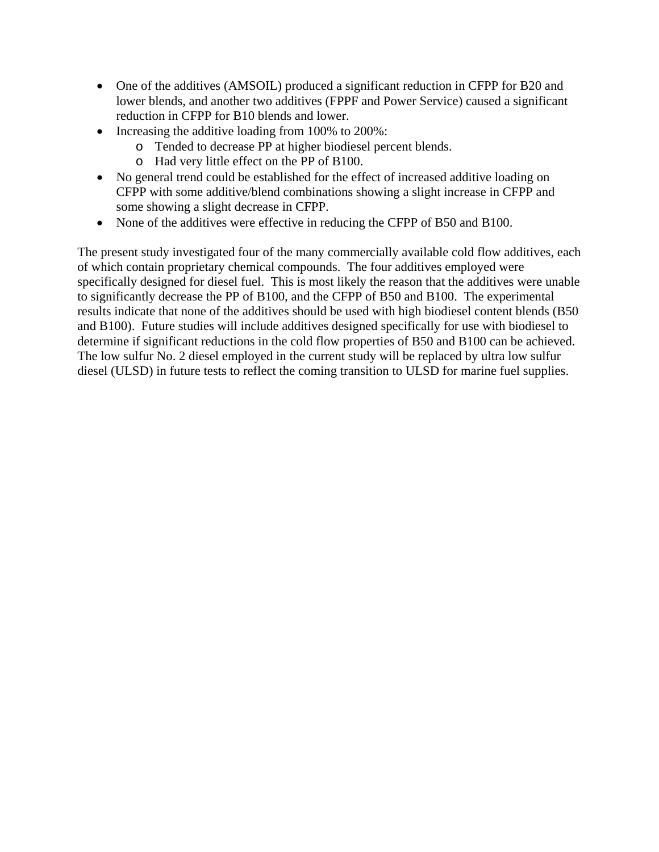- One of the additives (AMSOIL) produced a significant reduction in CFPP for B20 and lower blends, and another two additives (FPPF and Power Service) caused a significant reduction in CFPP for B10 blends and lower.
- Increasing the additive loading from 100% to 200%:
	- o Tended to decrease PP at higher biodiesel percent blends.
	- o Had very little effect on the PP of B100.
- No general trend could be established for the effect of increased additive loading on CFPP with some additive/blend combinations showing a slight increase in CFPP and some showing a slight decrease in CFPP.
- None of the additives were effective in reducing the CFPP of B50 and B100.

The present study investigated four of the many commercially available cold flow additives, each of which contain proprietary chemical compounds. The four additives employed were specifically designed for diesel fuel. This is most likely the reason that the additives were unable to significantly decrease the PP of B100, and the CFPP of B50 and B100. The experimental results indicate that none of the additives should be used with high biodiesel content blends (B50 and B100). Future studies will include additives designed specifically for use with biodiesel to determine if significant reductions in the cold flow properties of B50 and B100 can be achieved. The low sulfur No. 2 diesel employed in the current study will be replaced by ultra low sulfur diesel (ULSD) in future tests to reflect the coming transition to ULSD for marine fuel supplies.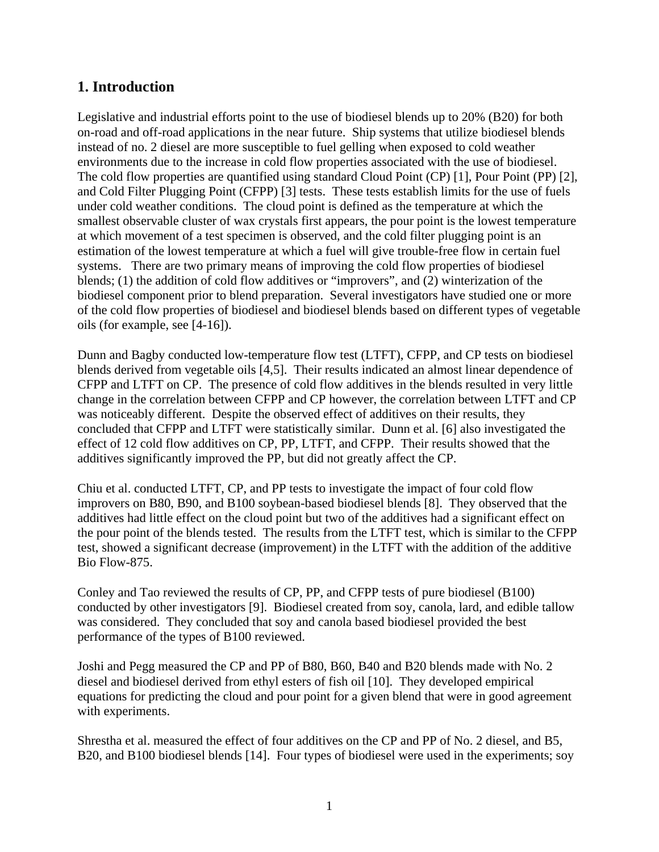### **1. Introduction**

Legislative and industrial efforts point to the use of biodiesel blends up to 20% (B20) for both on-road and off-road applications in the near future. Ship systems that utilize biodiesel blends instead of no. 2 diesel are more susceptible to fuel gelling when exposed to cold weather environments due to the increase in cold flow properties associated with the use of biodiesel. The cold flow properties are quantified using standard Cloud Point (CP) [1], Pour Point (PP) [2], and Cold Filter Plugging Point (CFPP) [3] tests. These tests establish limits for the use of fuels under cold weather conditions. The cloud point is defined as the temperature at which the smallest observable cluster of wax crystals first appears, the pour point is the lowest temperature at which movement of a test specimen is observed, and the cold filter plugging point is an estimation of the lowest temperature at which a fuel will give trouble-free flow in certain fuel systems. There are two primary means of improving the cold flow properties of biodiesel blends; (1) the addition of cold flow additives or "improvers", and (2) winterization of the biodiesel component prior to blend preparation. Several investigators have studied one or more of the cold flow properties of biodiesel and biodiesel blends based on different types of vegetable oils (for example, see [4-16]).

Dunn and Bagby conducted low-temperature flow test (LTFT), CFPP, and CP tests on biodiesel blends derived from vegetable oils [4,5]. Their results indicated an almost linear dependence of CFPP and LTFT on CP. The presence of cold flow additives in the blends resulted in very little change in the correlation between CFPP and CP however, the correlation between LTFT and CP was noticeably different. Despite the observed effect of additives on their results, they concluded that CFPP and LTFT were statistically similar. Dunn et al. [6] also investigated the effect of 12 cold flow additives on CP, PP, LTFT, and CFPP. Their results showed that the additives significantly improved the PP, but did not greatly affect the CP.

Chiu et al. conducted LTFT, CP, and PP tests to investigate the impact of four cold flow improvers on B80, B90, and B100 soybean-based biodiesel blends [8]. They observed that the additives had little effect on the cloud point but two of the additives had a significant effect on the pour point of the blends tested. The results from the LTFT test, which is similar to the CFPP test, showed a significant decrease (improvement) in the LTFT with the addition of the additive Bio Flow-875.

Conley and Tao reviewed the results of CP, PP, and CFPP tests of pure biodiesel (B100) conducted by other investigators [9]. Biodiesel created from soy, canola, lard, and edible tallow was considered. They concluded that soy and canola based biodiesel provided the best performance of the types of B100 reviewed.

Joshi and Pegg measured the CP and PP of B80, B60, B40 and B20 blends made with No. 2 diesel and biodiesel derived from ethyl esters of fish oil [10]. They developed empirical equations for predicting the cloud and pour point for a given blend that were in good agreement with experiments.

Shrestha et al. measured the effect of four additives on the CP and PP of No. 2 diesel, and B5, B20, and B100 biodiesel blends [14]. Four types of biodiesel were used in the experiments; soy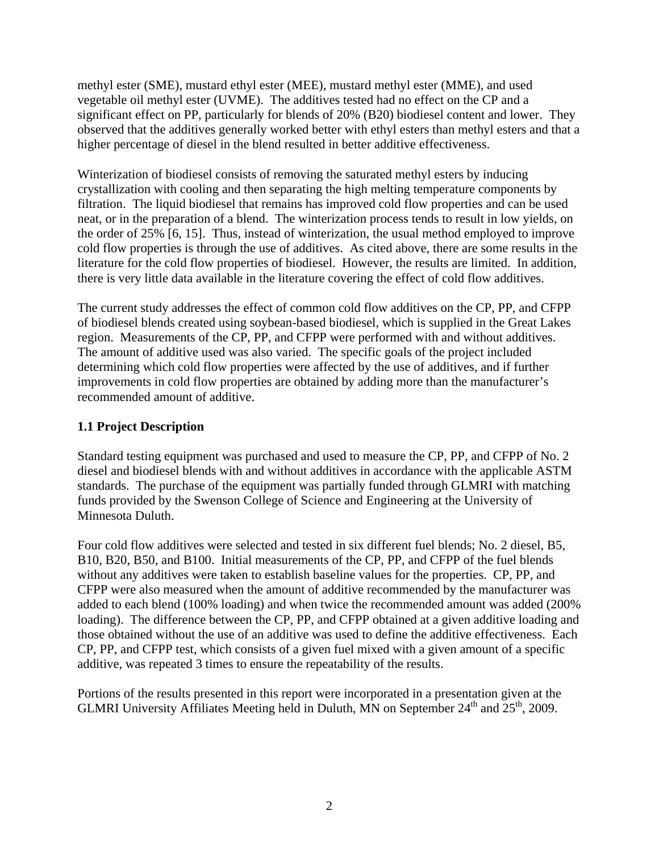methyl ester (SME), mustard ethyl ester (MEE), mustard methyl ester (MME), and used vegetable oil methyl ester (UVME). The additives tested had no effect on the CP and a significant effect on PP, particularly for blends of 20% (B20) biodiesel content and lower. They observed that the additives generally worked better with ethyl esters than methyl esters and that a higher percentage of diesel in the blend resulted in better additive effectiveness.

Winterization of biodiesel consists of removing the saturated methyl esters by inducing crystallization with cooling and then separating the high melting temperature components by filtration. The liquid biodiesel that remains has improved cold flow properties and can be used neat, or in the preparation of a blend. The winterization process tends to result in low yields, on the order of 25% [6, 15]. Thus, instead of winterization, the usual method employed to improve cold flow properties is through the use of additives. As cited above, there are some results in the literature for the cold flow properties of biodiesel. However, the results are limited. In addition, there is very little data available in the literature covering the effect of cold flow additives.

The current study addresses the effect of common cold flow additives on the CP, PP, and CFPP of biodiesel blends created using soybean-based biodiesel, which is supplied in the Great Lakes region. Measurements of the CP, PP, and CFPP were performed with and without additives. The amount of additive used was also varied. The specific goals of the project included determining which cold flow properties were affected by the use of additives, and if further improvements in cold flow properties are obtained by adding more than the manufacturer's recommended amount of additive.

### **1.1 Project Description**

Standard testing equipment was purchased and used to measure the CP, PP, and CFPP of No. 2 diesel and biodiesel blends with and without additives in accordance with the applicable ASTM standards. The purchase of the equipment was partially funded through GLMRI with matching funds provided by the Swenson College of Science and Engineering at the University of Minnesota Duluth.

Four cold flow additives were selected and tested in six different fuel blends; No. 2 diesel, B5, B10, B20, B50, and B100. Initial measurements of the CP, PP, and CFPP of the fuel blends without any additives were taken to establish baseline values for the properties. CP, PP, and CFPP were also measured when the amount of additive recommended by the manufacturer was added to each blend (100% loading) and when twice the recommended amount was added (200% loading). The difference between the CP, PP, and CFPP obtained at a given additive loading and those obtained without the use of an additive was used to define the additive effectiveness. Each CP, PP, and CFPP test, which consists of a given fuel mixed with a given amount of a specific additive, was repeated 3 times to ensure the repeatability of the results.

Portions of the results presented in this report were incorporated in a presentation given at the GLMRI University Affiliates Meeting held in Duluth, MN on September  $24<sup>th</sup>$  and  $25<sup>th</sup>$ , 2009.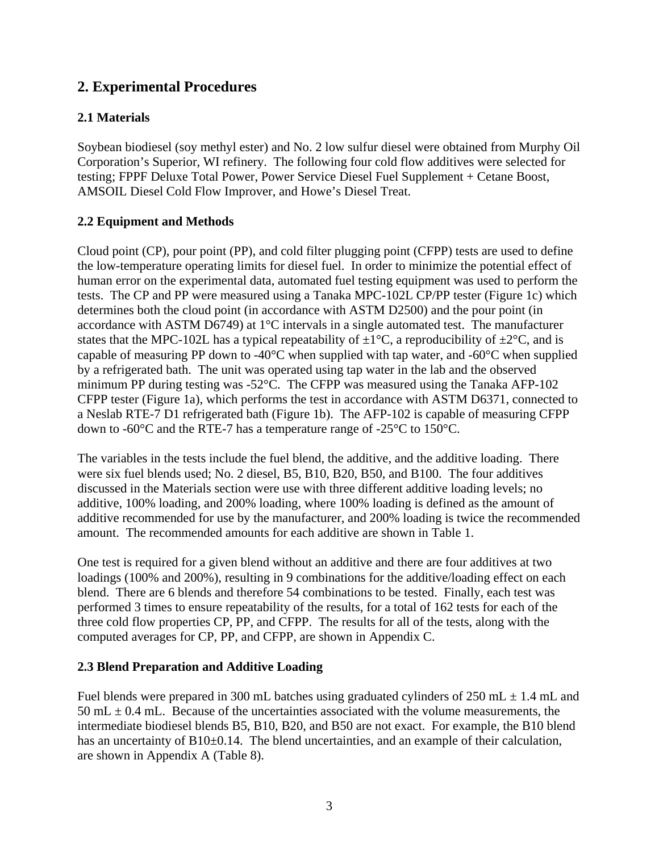### **2. Experimental Procedures**

### **2.1 Materials**

Soybean biodiesel (soy methyl ester) and No. 2 low sulfur diesel were obtained from Murphy Oil Corporation's Superior, WI refinery. The following four cold flow additives were selected for testing; FPPF Deluxe Total Power, Power Service Diesel Fuel Supplement + Cetane Boost, AMSOIL Diesel Cold Flow Improver, and Howe's Diesel Treat.

### **2.2 Equipment and Methods**

Cloud point (CP), pour point (PP), and cold filter plugging point (CFPP) tests are used to define the low-temperature operating limits for diesel fuel. In order to minimize the potential effect of human error on the experimental data, automated fuel testing equipment was used to perform the tests. The CP and PP were measured using a Tanaka MPC-102L CP/PP tester (Figure 1c) which determines both the cloud point (in accordance with ASTM D2500) and the pour point (in accordance with ASTM D6749) at 1°C intervals in a single automated test. The manufacturer states that the MPC-102L has a typical repeatability of  $\pm 1^{\circ}$ C, a reproducibility of  $\pm 2^{\circ}$ C, and is capable of measuring PP down to -40°C when supplied with tap water, and -60°C when supplied by a refrigerated bath. The unit was operated using tap water in the lab and the observed minimum PP during testing was -52°C. The CFPP was measured using the Tanaka AFP-102 CFPP tester (Figure 1a), which performs the test in accordance with ASTM D6371, connected to a Neslab RTE-7 D1 refrigerated bath (Figure 1b). The AFP-102 is capable of measuring CFPP down to -60°C and the RTE-7 has a temperature range of -25°C to 150°C.

The variables in the tests include the fuel blend, the additive, and the additive loading. There were six fuel blends used; No. 2 diesel, B5, B10, B20, B50, and B100. The four additives discussed in the Materials section were use with three different additive loading levels; no additive, 100% loading, and 200% loading, where 100% loading is defined as the amount of additive recommended for use by the manufacturer, and 200% loading is twice the recommended amount. The recommended amounts for each additive are shown in Table 1.

One test is required for a given blend without an additive and there are four additives at two loadings (100% and 200%), resulting in 9 combinations for the additive/loading effect on each blend. There are 6 blends and therefore 54 combinations to be tested. Finally, each test was performed 3 times to ensure repeatability of the results, for a total of 162 tests for each of the three cold flow properties CP, PP, and CFPP. The results for all of the tests, along with the computed averages for CP, PP, and CFPP, are shown in Appendix C.

#### **2.3 Blend Preparation and Additive Loading**

Fuel blends were prepared in 300 mL batches using graduated cylinders of 250 mL  $\pm$  1.4 mL and  $50 \text{ mL} \pm 0.4 \text{ mL}$ . Because of the uncertainties associated with the volume measurements, the intermediate biodiesel blends B5, B10, B20, and B50 are not exact. For example, the B10 blend has an uncertainty of  $B10\pm0.14$ . The blend uncertainties, and an example of their calculation, are shown in Appendix A (Table 8).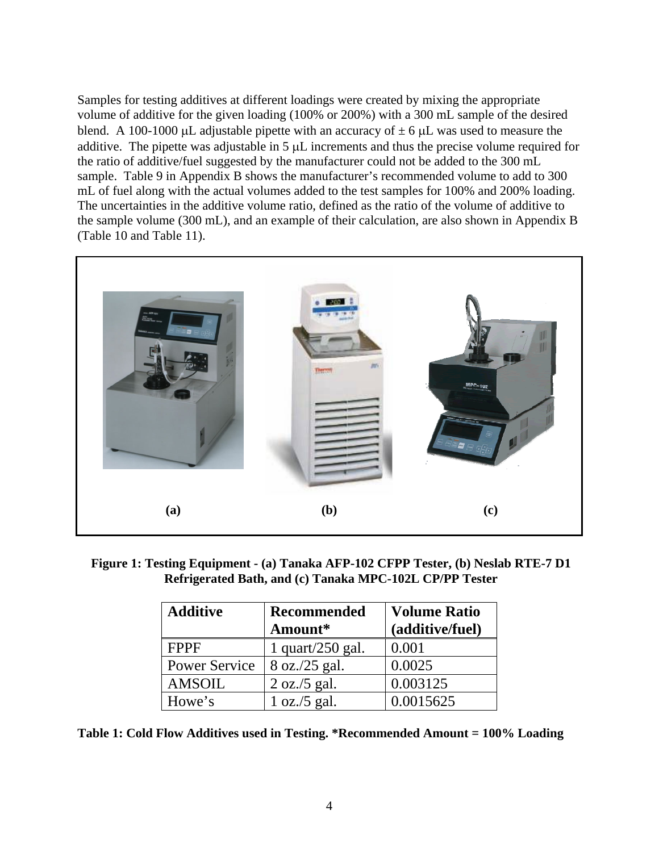Samples for testing additives at different loadings were created by mixing the appropriate volume of additive for the given loading (100% or 200%) with a 300 mL sample of the desired blend. A 100-1000 μL adjustable pipette with an accuracy of  $\pm$  6 μL was used to measure the additive. The pipette was adjustable in 5 μL increments and thus the precise volume required for the ratio of additive/fuel suggested by the manufacturer could not be added to the 300 mL sample. Table 9 in Appendix B shows the manufacturer's recommended volume to add to 300 mL of fuel along with the actual volumes added to the test samples for 100% and 200% loading. The uncertainties in the additive volume ratio, defined as the ratio of the volume of additive to the sample volume (300 mL), and an example of their calculation, are also shown in Appendix B (Table 10 and Table 11).



**Figure 1: Testing Equipment - (a) Tanaka AFP-102 CFPP Tester, (b) Neslab RTE-7 D1 Refrigerated Bath, and (c) Tanaka MPC-102L CP/PP Tester** 

| <b>Additive</b>      | <b>Recommended</b><br>Amount* | <b>Volume Ratio</b><br>(additive/fuel) |
|----------------------|-------------------------------|----------------------------------------|
| <b>FPPF</b>          | 1 quart/250 gal.              | 0.001                                  |
| <b>Power Service</b> | $8$ oz./25 gal.               | 0.0025                                 |
| <b>AMSOIL</b>        | $2$ oz./5 gal.                | 0.003125                               |
| Howe's               | 1 oz./5 gal.                  | 0.0015625                              |

**Table 1: Cold Flow Additives used in Testing. \*Recommended Amount = 100% Loading**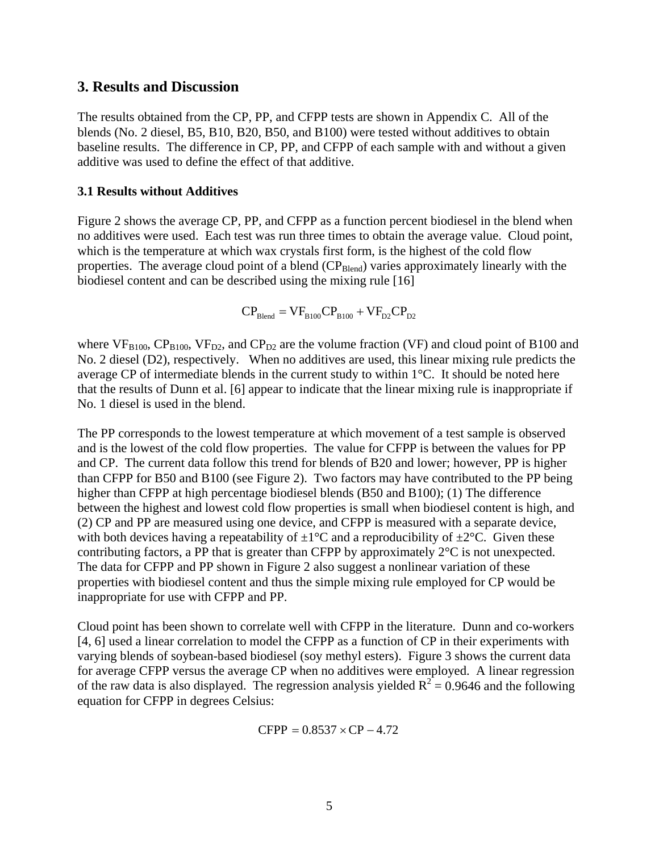#### **3. Results and Discussion**

The results obtained from the CP, PP, and CFPP tests are shown in Appendix C. All of the blends (No. 2 diesel, B5, B10, B20, B50, and B100) were tested without additives to obtain baseline results. The difference in CP, PP, and CFPP of each sample with and without a given additive was used to define the effect of that additive.

#### **3.1 Results without Additives**

Figure 2 shows the average CP, PP, and CFPP as a function percent biodiesel in the blend when no additives were used. Each test was run three times to obtain the average value. Cloud point, which is the temperature at which wax crystals first form, is the highest of the cold flow properties. The average cloud point of a blend (CP<sub>Blend</sub>) varies approximately linearly with the biodiesel content and can be described using the mixing rule [16]

$$
CP_{\rm Blead} = VF_{\rm B100}CP_{\rm B100} + VF_{\rm D2}CP_{\rm D2}
$$

where  $VF_{B100}$ ,  $CP_{B100}$ ,  $VF_{D2}$ , and  $CP_{D2}$  are the volume fraction (VF) and cloud point of B100 and No. 2 diesel (D2), respectively. When no additives are used, this linear mixing rule predicts the average CP of intermediate blends in the current study to within 1°C. It should be noted here that the results of Dunn et al. [6] appear to indicate that the linear mixing rule is inappropriate if No. 1 diesel is used in the blend.

The PP corresponds to the lowest temperature at which movement of a test sample is observed and is the lowest of the cold flow properties. The value for CFPP is between the values for PP and CP. The current data follow this trend for blends of B20 and lower; however, PP is higher than CFPP for B50 and B100 (see Figure 2). Two factors may have contributed to the PP being higher than CFPP at high percentage biodiesel blends (B50 and B100); (1) The difference between the highest and lowest cold flow properties is small when biodiesel content is high, and (2) CP and PP are measured using one device, and CFPP is measured with a separate device, with both devices having a repeatability of  $\pm 1^{\circ}C$  and a reproducibility of  $\pm 2^{\circ}C$ . Given these contributing factors, a PP that is greater than CFPP by approximately 2°C is not unexpected. The data for CFPP and PP shown in Figure 2 also suggest a nonlinear variation of these properties with biodiesel content and thus the simple mixing rule employed for CP would be inappropriate for use with CFPP and PP.

Cloud point has been shown to correlate well with CFPP in the literature. Dunn and co-workers [4, 6] used a linear correlation to model the CFPP as a function of CP in their experiments with varying blends of soybean-based biodiesel (soy methyl esters). Figure 3 shows the current data for average CFPP versus the average CP when no additives were employed. A linear regression of the raw data is also displayed. The regression analysis yielded  $R^2 = 0.9646$  and the following equation for CFPP in degrees Celsius:

$$
CFPP = 0.8537 \times CP - 4.72
$$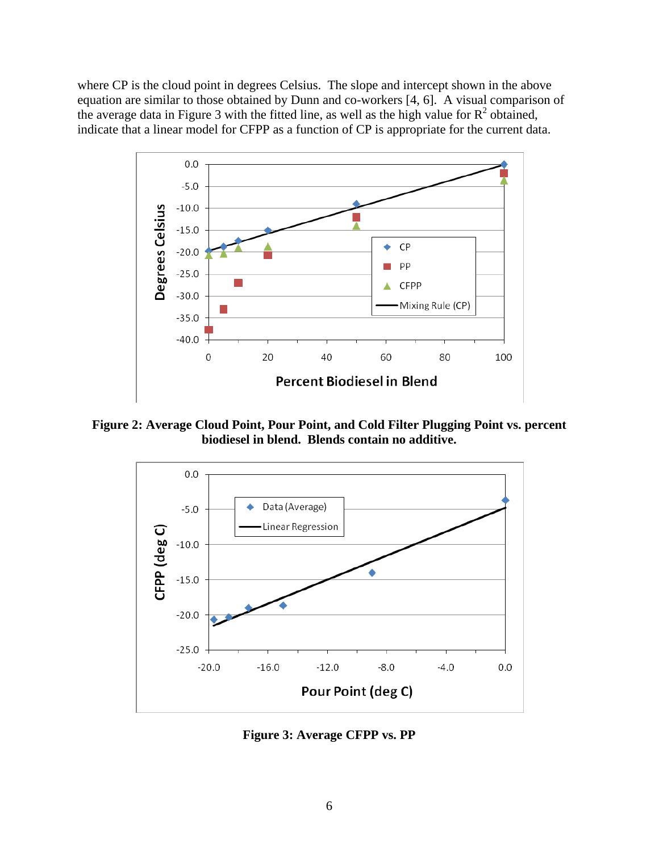where CP is the cloud point in degrees Celsius. The slope and intercept shown in the above equation are similar to those obtained by Dunn and co-workers [4, 6]. A visual comparison of the average data in Figure 3 with the fitted line, as well as the high value for  $R^2$  obtained, indicate that a linear model for CFPP as a function of CP is appropriate for the current data.



**Figure 2: Average Cloud Point, Pour Point, and Cold Filter Plugging Point vs. percent biodiesel in blend. Blends contain no additive.** 



**Figure 3: Average CFPP vs. PP**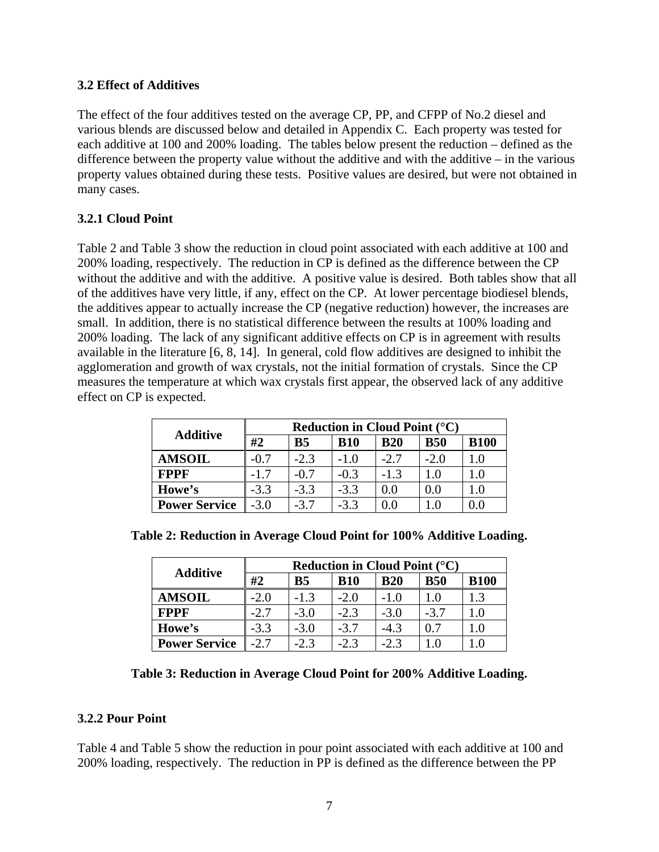#### **3.2 Effect of Additives**

The effect of the four additives tested on the average CP, PP, and CFPP of No.2 diesel and various blends are discussed below and detailed in Appendix C. Each property was tested for each additive at 100 and 200% loading. The tables below present the reduction – defined as the difference between the property value without the additive and with the additive  $-$  in the various property values obtained during these tests. Positive values are desired, but were not obtained in many cases.

### **3.2.1 Cloud Point**

Table 2 and Table 3 show the reduction in cloud point associated with each additive at 100 and 200% loading, respectively. The reduction in CP is defined as the difference between the CP without the additive and with the additive. A positive value is desired. Both tables show that all of the additives have very little, if any, effect on the CP. At lower percentage biodiesel blends, the additives appear to actually increase the CP (negative reduction) however, the increases are small. In addition, there is no statistical difference between the results at 100% loading and 200% loading. The lack of any significant additive effects on CP is in agreement with results available in the literature [6, 8, 14]. In general, cold flow additives are designed to inhibit the agglomeration and growth of wax crystals, not the initial formation of crystals. Since the CP measures the temperature at which wax crystals first appear, the observed lack of any additive effect on CP is expected.

| <b>Additive</b>      | <b>Reduction in Cloud Point (<math>^{\circ}</math>C)</b> |           |            |            |            |             |  |
|----------------------|----------------------------------------------------------|-----------|------------|------------|------------|-------------|--|
|                      | #2                                                       | <b>B5</b> | <b>B10</b> | <b>B20</b> | <b>B50</b> | <b>B100</b> |  |
| <b>AMSOIL</b>        | $-0.7$                                                   | $-2.3$    | $-1.0$     | $-2.7$     | $-2.0$     |             |  |
| <b>FPPF</b>          | $-1.7$                                                   | -0.7      | $-0.3$     | $-1.3$     | 1.0        |             |  |
| Howe's               | $-3.3$                                                   | $-3.3$    | $-3.3$     | $0.0\,$    | $0.0\,$    |             |  |
| <b>Power Service</b> | $-3.0$                                                   | $-3.7$    | $-3.3$     | 0.0        |            |             |  |

|  | Table 2: Reduction in Average Cloud Point for 100% Additive Loading. |  |  |  |
|--|----------------------------------------------------------------------|--|--|--|
|  |                                                                      |  |  |  |

|                      | <b>Reduction in Cloud Point (<math>^{\circ}</math>C)</b> |           |            |            |            |             |  |
|----------------------|----------------------------------------------------------|-----------|------------|------------|------------|-------------|--|
| <b>Additive</b>      | #2                                                       | <b>B5</b> | <b>B10</b> | <b>B20</b> | <b>B50</b> | <b>B100</b> |  |
| <b>AMSOIL</b>        | $-2.0$                                                   | $-1.3$    | $-2.0$     | $-1.0$     |            | 13          |  |
| <b>FPPF</b>          | $-2.7$                                                   | $-3.0$    | $-2.3$     | $-3.0$     | $-3.7$     | 10          |  |
| Howe's               | $-3.3$                                                   | $-3.0$    | $-3.7$     | $-4.3$     | 0.7        |             |  |
| <b>Power Service</b> | $-2.7$                                                   | $-2.3$    | $-2.3$     | $-2.3$     |            |             |  |

| Table 3: Reduction in Average Cloud Point for 200% Additive Loading. |  |  |  |
|----------------------------------------------------------------------|--|--|--|
|----------------------------------------------------------------------|--|--|--|

### **3.2.2 Pour Point**

Table 4 and Table 5 show the reduction in pour point associated with each additive at 100 and 200% loading, respectively. The reduction in PP is defined as the difference between the PP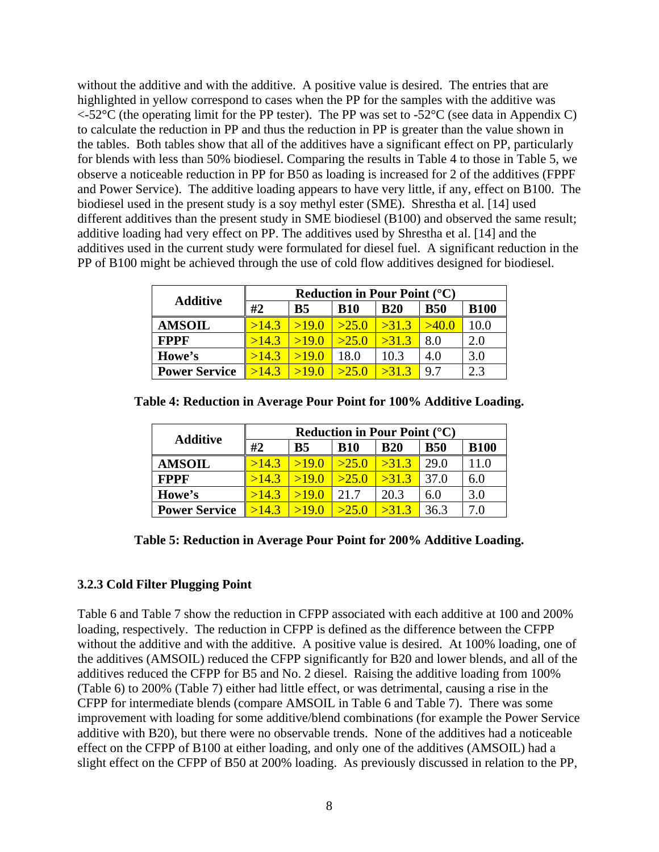without the additive and with the additive. A positive value is desired. The entries that are highlighted in yellow correspond to cases when the PP for the samples with the additive was  $\lt$ -52°C (the operating limit for the PP tester). The PP was set to -52°C (see data in Appendix C) to calculate the reduction in PP and thus the reduction in PP is greater than the value shown in the tables. Both tables show that all of the additives have a significant effect on PP, particularly for blends with less than 50% biodiesel. Comparing the results in Table 4 to those in Table 5, we observe a noticeable reduction in PP for B50 as loading is increased for 2 of the additives (FPPF and Power Service). The additive loading appears to have very little, if any, effect on B100. The biodiesel used in the present study is a soy methyl ester (SME). Shrestha et al. [14] used different additives than the present study in SME biodiesel (B100) and observed the same result; additive loading had very effect on PP. The additives used by Shrestha et al. [14] and the additives used in the current study were formulated for diesel fuel. A significant reduction in the PP of B100 might be achieved through the use of cold flow additives designed for biodiesel.

| <b>Additive</b>      | <b>Reduction in Pour Point (<math>^{\circ}</math>C)</b> |                |             |            |            |             |  |
|----------------------|---------------------------------------------------------|----------------|-------------|------------|------------|-------------|--|
|                      | #2                                                      | B <sub>5</sub> | <b>B</b> 10 | <b>B20</b> | <b>B50</b> | <b>B100</b> |  |
| <b>AMSOIL</b>        | >14.3                                                   | >19.0          | >25.0       | >31.3      | >40.0      | 10.0        |  |
| <b>FPPF</b>          | >14.3                                                   | >19.0          | >25.0       | >31.3      | 8.0        | 2.0         |  |
| Howe's               | >14.3                                                   | >19.0          | 18.0        | 10.3       | 4.0        | 3.0         |  |
| <b>Power Service</b> | >14.3                                                   | 5190           | >25.0       | >31.3      | 9.7        | 2.3         |  |

| <b>Additive</b>      |       |            |            | <b>Reduction in Pour Point (<math>^{\circ}</math>C)</b> |            |             |
|----------------------|-------|------------|------------|---------------------------------------------------------|------------|-------------|
|                      | #2    | <b>B5</b>  | <b>B10</b> | <b>B20</b>                                              | <b>B50</b> | <b>B100</b> |
| <b>AMSOIL</b>        | >14.3 | >19.0      | >25.0      | >31.3                                                   | 29.0       | 11.0        |
| <b>FPPF</b>          | >14.3 | >19.0      | >25.0      | >31.3                                                   | 37.0       | 6.0         |
| Howe's               | >14.3 | >19.0      | 21.7       | 20.3                                                    | 6.0        | 3.0         |
| <b>Power Service</b> | >14.3 | $\sim$ 190 | >25.0      | >31.3                                                   | 36.3       | 7.0         |

**Table 4: Reduction in Average Pour Point for 100% Additive Loading.** 

|  |  | Table 5: Reduction in Average Pour Point for 200% Additive Loading. |
|--|--|---------------------------------------------------------------------|
|--|--|---------------------------------------------------------------------|

#### **3.2.3 Cold Filter Plugging Point**

Table 6 and Table 7 show the reduction in CFPP associated with each additive at 100 and 200% loading, respectively. The reduction in CFPP is defined as the difference between the CFPP without the additive and with the additive. A positive value is desired. At 100% loading, one of the additives (AMSOIL) reduced the CFPP significantly for B20 and lower blends, and all of the additives reduced the CFPP for B5 and No. 2 diesel. Raising the additive loading from 100% (Table 6) to 200% (Table 7) either had little effect, or was detrimental, causing a rise in the CFPP for intermediate blends (compare AMSOIL in Table 6 and Table 7). There was some improvement with loading for some additive/blend combinations (for example the Power Service additive with B20), but there were no observable trends. None of the additives had a noticeable effect on the CFPP of B100 at either loading, and only one of the additives (AMSOIL) had a slight effect on the CFPP of B50 at 200% loading. As previously discussed in relation to the PP,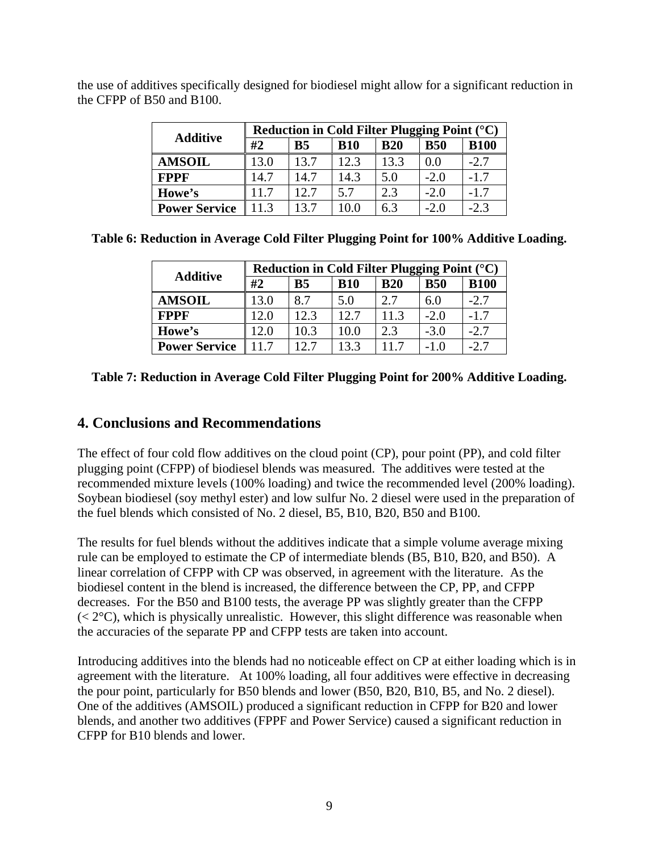| <b>Additive</b>      | Reduction in Cold Filter Plugging Point (°C) |                |            |            |            |             |  |  |  |  |
|----------------------|----------------------------------------------|----------------|------------|------------|------------|-------------|--|--|--|--|
|                      | #2                                           | B <sub>5</sub> | <b>B10</b> | <b>B20</b> | <b>B50</b> | <b>B100</b> |  |  |  |  |
| <b>AMSOIL</b>        | 13.0                                         | 13.7           | 12.3       | 13.3       | 0.0        | $-2.7$      |  |  |  |  |
| <b>FPPF</b>          | 14.7                                         | 14.7           | 14.3       | 5.0        | $-2.0$     | $-1.7$      |  |  |  |  |
| Howe's               | 11.7                                         | 12.7           | 5.7        | 2.3        | $-2.0$     | $-1.7$      |  |  |  |  |
| <b>Power Service</b> | 11.3                                         | 13.7           | 10.0       | 6.3        | $-2.0$     | $-2.3$      |  |  |  |  |

the use of additives specifically designed for biodiesel might allow for a significant reduction in the CFPP of B50 and B100.

|  |  |  | Table 6: Reduction in Average Cold Filter Plugging Point for 100% Additive Loading. |  |
|--|--|--|-------------------------------------------------------------------------------------|--|
|  |  |  |                                                                                     |  |

| <b>Additive</b>      | Reduction in Cold Filter Plugging Point $({}^{\circ}C)$ |           |            |            |            |             |  |  |  |  |  |
|----------------------|---------------------------------------------------------|-----------|------------|------------|------------|-------------|--|--|--|--|--|
|                      | #2                                                      | <b>B5</b> | <b>B10</b> | <b>B20</b> | <b>B50</b> | <b>B100</b> |  |  |  |  |  |
| <b>AMSOIL</b>        | 13.0                                                    | 8.7       | 5.0        | 2.7        | 6.0        | $-2.7$      |  |  |  |  |  |
| <b>FPPF</b>          | 12.0                                                    | 12.3      | 12.7       | 11.3       | $-2.0$     | $-1.7$      |  |  |  |  |  |
| Howe's               | 12.0                                                    | 10.3      | 10.0       | 2.3        | $-3.0$     | $-2.7$      |  |  |  |  |  |
| <b>Power Service</b> | 11.7                                                    | 12.7      | 13.3       | 11.7       | -1.0       | -2.7        |  |  |  |  |  |

|  |  | Table 7: Reduction in Average Cold Filter Plugging Point for 200% Additive Loading. |  |
|--|--|-------------------------------------------------------------------------------------|--|
|  |  |                                                                                     |  |

### **4. Conclusions and Recommendations**

The effect of four cold flow additives on the cloud point (CP), pour point (PP), and cold filter plugging point (CFPP) of biodiesel blends was measured. The additives were tested at the recommended mixture levels (100% loading) and twice the recommended level (200% loading). Soybean biodiesel (soy methyl ester) and low sulfur No. 2 diesel were used in the preparation of the fuel blends which consisted of No. 2 diesel, B5, B10, B20, B50 and B100.

The results for fuel blends without the additives indicate that a simple volume average mixing rule can be employed to estimate the CP of intermediate blends (B5, B10, B20, and B50). A linear correlation of CFPP with CP was observed, in agreement with the literature. As the biodiesel content in the blend is increased, the difference between the CP, PP, and CFPP decreases. For the B50 and B100 tests, the average PP was slightly greater than the CFPP  $(< 2^{\circ}C$ ), which is physically unrealistic. However, this slight difference was reasonable when the accuracies of the separate PP and CFPP tests are taken into account.

Introducing additives into the blends had no noticeable effect on CP at either loading which is in agreement with the literature. At 100% loading, all four additives were effective in decreasing the pour point, particularly for B50 blends and lower (B50, B20, B10, B5, and No. 2 diesel). One of the additives (AMSOIL) produced a significant reduction in CFPP for B20 and lower blends, and another two additives (FPPF and Power Service) caused a significant reduction in CFPP for B10 blends and lower.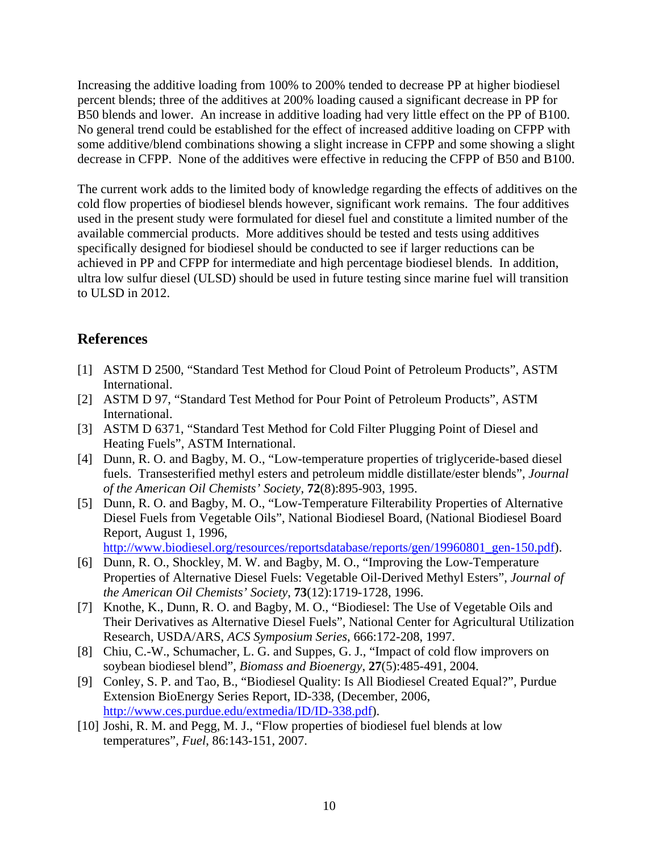Increasing the additive loading from 100% to 200% tended to decrease PP at higher biodiesel percent blends; three of the additives at 200% loading caused a significant decrease in PP for B50 blends and lower. An increase in additive loading had very little effect on the PP of B100. No general trend could be established for the effect of increased additive loading on CFPP with some additive/blend combinations showing a slight increase in CFPP and some showing a slight decrease in CFPP. None of the additives were effective in reducing the CFPP of B50 and B100.

The current work adds to the limited body of knowledge regarding the effects of additives on the cold flow properties of biodiesel blends however, significant work remains. The four additives used in the present study were formulated for diesel fuel and constitute a limited number of the available commercial products. More additives should be tested and tests using additives specifically designed for biodiesel should be conducted to see if larger reductions can be achieved in PP and CFPP for intermediate and high percentage biodiesel blends. In addition, ultra low sulfur diesel (ULSD) should be used in future testing since marine fuel will transition to ULSD in 2012.

### **References**

- [1] ASTM D 2500, "Standard Test Method for Cloud Point of Petroleum Products", ASTM International.
- [2] ASTM D 97, "Standard Test Method for Pour Point of Petroleum Products", ASTM International.
- [3] ASTM D 6371, "Standard Test Method for Cold Filter Plugging Point of Diesel and Heating Fuels", ASTM International.
- [4] Dunn, R. O. and Bagby, M. O., "Low-temperature properties of triglyceride-based diesel fuels. Transesterified methyl esters and petroleum middle distillate/ester blends", *Journal of the American Oil Chemists' Society*, **72**(8):895-903, 1995.
- [5] Dunn, R. O. and Bagby, M. O., "Low-Temperature Filterability Properties of Alternative Diesel Fuels from Vegetable Oils", National Biodiesel Board, (National Biodiesel Board Report, August 1, 1996,

http://www.biodiesel.org/resources/reportsdatabase/reports/gen/19960801\_gen-150.pdf).

- [6] Dunn, R. O., Shockley, M. W. and Bagby, M. O., "Improving the Low-Temperature Properties of Alternative Diesel Fuels: Vegetable Oil-Derived Methyl Esters", *Journal of the American Oil Chemists' Society*, **73**(12):1719-1728, 1996.
- [7] Knothe, K., Dunn, R. O. and Bagby, M. O., "Biodiesel: The Use of Vegetable Oils and Their Derivatives as Alternative Diesel Fuels", National Center for Agricultural Utilization Research, USDA/ARS, *ACS Symposium Series*, 666:172-208, 1997.
- [8] Chiu, C.-W., Schumacher, L. G. and Suppes, G. J., "Impact of cold flow improvers on soybean biodiesel blend", *Biomass and Bioenergy*, **27**(5):485-491, 2004.
- [9] Conley, S. P. and Tao, B., "Biodiesel Quality: Is All Biodiesel Created Equal?", Purdue Extension BioEnergy Series Report, ID-338, (December, 2006, http://www.ces.purdue.edu/extmedia/ID/ID-338.pdf).
- [10] Joshi, R. M. and Pegg, M. J., "Flow properties of biodiesel fuel blends at low temperatures", *Fuel*, 86:143-151, 2007.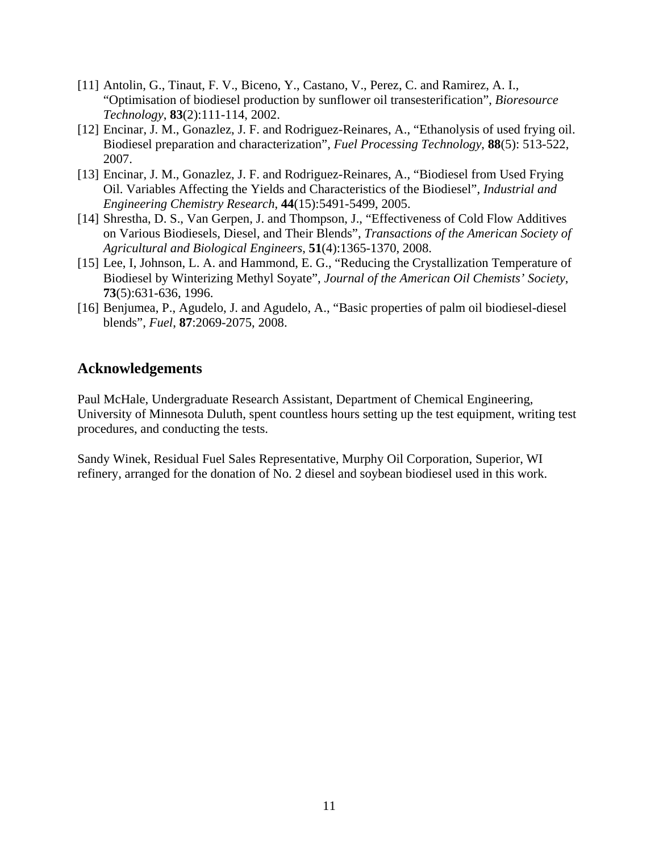- [11] Antolin, G., Tinaut, F. V., Biceno, Y., Castano, V., Perez, C. and Ramirez, A. I., "Optimisation of biodiesel production by sunflower oil transesterification", *Bioresource Technology*, **83**(2):111-114, 2002.
- [12] Encinar, J. M., Gonazlez, J. F. and Rodriguez-Reinares, A., "Ethanolysis of used frying oil. Biodiesel preparation and characterization", *Fuel Processing Technology*, **88**(5): 513-522, 2007.
- [13] Encinar, J. M., Gonazlez, J. F. and Rodriguez-Reinares, A., "Biodiesel from Used Frying Oil. Variables Affecting the Yields and Characteristics of the Biodiesel", *Industrial and Engineering Chemistry Research*, **44**(15):5491-5499, 2005.
- [14] Shrestha, D. S., Van Gerpen, J. and Thompson, J., "Effectiveness of Cold Flow Additives" on Various Biodiesels, Diesel, and Their Blends", *Transactions of the American Society of Agricultural and Biological Engineers*, **51**(4):1365-1370, 2008.
- [15] Lee, I, Johnson, L. A. and Hammond, E. G., "Reducing the Crystallization Temperature of Biodiesel by Winterizing Methyl Soyate", *Journal of the American Oil Chemists' Society*, **73**(5):631-636, 1996.
- [16] Benjumea, P., Agudelo, J. and Agudelo, A., "Basic properties of palm oil biodiesel-diesel blends", *Fuel*, **87**:2069-2075, 2008.

### **Acknowledgements**

Paul McHale, Undergraduate Research Assistant, Department of Chemical Engineering, University of Minnesota Duluth, spent countless hours setting up the test equipment, writing test procedures, and conducting the tests.

Sandy Winek, Residual Fuel Sales Representative, Murphy Oil Corporation, Superior, WI refinery, arranged for the donation of No. 2 diesel and soybean biodiesel used in this work.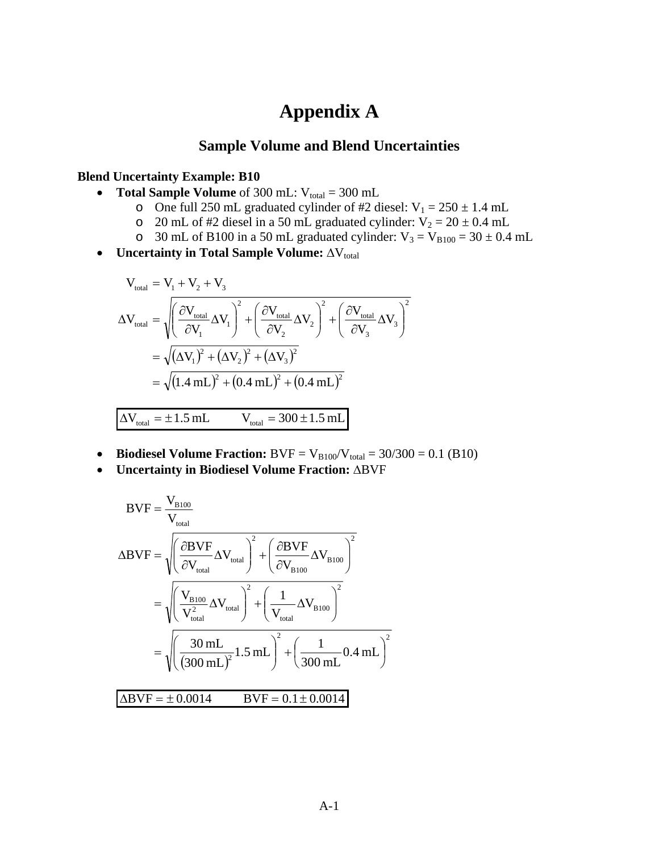# **Appendix A**

### **Sample Volume and Blend Uncertainties**

#### **Blend Uncertainty Example: B10**

- **Total Sample Volume** of 300 mL:  $V_{total} = 300$  mL
	- o One full 250 mL graduated cylinder of #2 diesel:  $V_1 = 250 \pm 1.4$  mL
	- o 20 mL of #2 diesel in a 50 mL graduated cylinder:  $V_2 = 20 \pm 0.4$  mL
	- o 30 mL of B100 in a 50 mL graduated cylinder:  $V_3 = V_{B100} = 30 \pm 0.4$  mL
- Uncertainty in Total Sample Volume: ΔV<sub>total</sub>

$$
V_{\text{total}} = V_1 + V_2 + V_3
$$
\n
$$
\Delta V_{\text{total}} = \sqrt{\left(\frac{\partial V_{\text{total}}}{\partial V_1} \Delta V_1\right)^2 + \left(\frac{\partial V_{\text{total}}}{\partial V_2} \Delta V_2\right)^2 + \left(\frac{\partial V_{\text{total}}}{\partial V_3} \Delta V_3\right)^2}
$$
\n
$$
= \sqrt{(\Delta V_1)^2 + (\Delta V_2)^2 + (\Delta V_3)^2}
$$
\n
$$
= \sqrt{(1.4 \text{ mL})^2 + (0.4 \text{ mL})^2 + (0.4 \text{ mL})^2}
$$
\n
$$
\Delta V_{\text{total}} = \pm 1.5 \text{ mL}
$$
\n
$$
V_{\text{total}} = 300 \pm 1.5 \text{ mL}
$$

- **Biodiesel Volume Fraction:**  $BVF = V_{B100}/V_{total} = 30/300 = 0.1$  (B10)
- **Uncertainty in Biodiesel Volume Fraction:** ΔBVF

$$
BVF = \frac{V_{B100}}{V_{total}}
$$
  
\n
$$
\Delta BVF = \sqrt{\left(\frac{\partial BVF}{\partial V_{total}}\Delta V_{total}\right)^{2} + \left(\frac{\partial BVF}{\partial V_{B100}}\Delta V_{B100}\right)^{2}}
$$
  
\n
$$
= \sqrt{\left(\frac{V_{B100}}{V_{total}^{2}}\Delta V_{total}\right)^{2} + \left(\frac{1}{V_{total}}\Delta V_{B100}\right)^{2}}
$$
  
\n
$$
= \sqrt{\left(\frac{30 \text{ mL}}{(300 \text{ mL})^{2}}1.5 \text{ mL}\right)^{2} + \left(\frac{1}{300 \text{ mL}}0.4 \text{ mL}\right)^{2}}
$$
  
\n
$$
\Delta BVF = \pm 0.0014 \qquad BVF = 0.1 \pm 0.0014
$$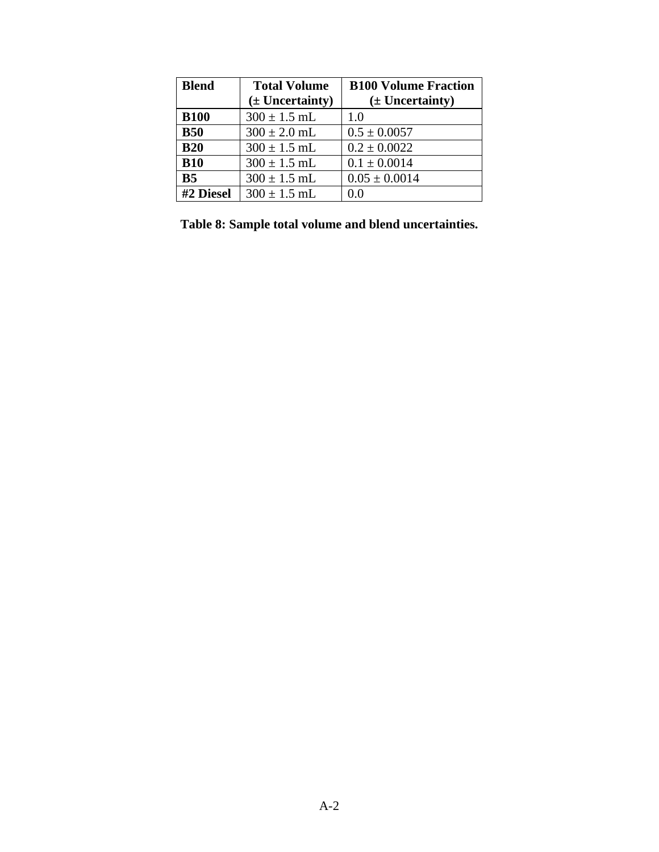| <b>Blend</b>   | <b>Total Volume</b><br>$(\pm$ Uncertainty) | <b>B100 Volume Fraction</b><br>$(\pm$ Uncertainty) |
|----------------|--------------------------------------------|----------------------------------------------------|
| <b>B100</b>    | $300 \pm 1.5$ mL                           | 1.0                                                |
| <b>B50</b>     | $300 \pm 2.0$ mL                           | $0.5 \pm 0.0057$                                   |
| <b>B20</b>     | $300 \pm 1.5$ mL                           | $0.2 \pm 0.0022$                                   |
| <b>B10</b>     | $300 \pm 1.5$ mL                           | $0.1 \pm 0.0014$                                   |
| B <sub>5</sub> | $300 \pm 1.5$ mL                           | $0.05 \pm 0.0014$                                  |
| #2 Diesel      | $300 \pm 1.5$ mL                           | 0.0                                                |

**Table 8: Sample total volume and blend uncertainties.**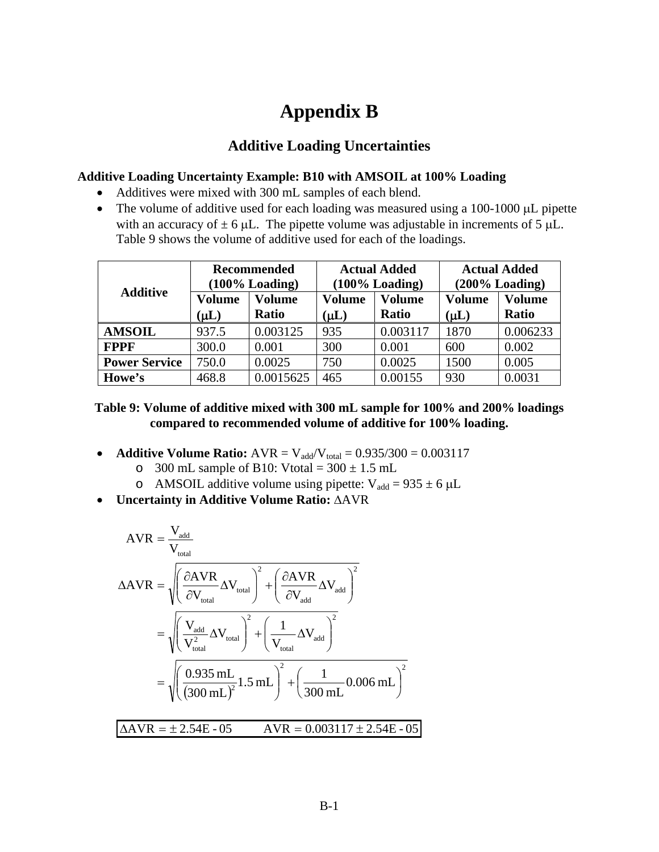# **Appendix B**

### **Additive Loading Uncertainties**

#### **Additive Loading Uncertainty Example: B10 with AMSOIL at 100% Loading**

- Additives were mixed with 300 mL samples of each blend.
- The volume of additive used for each loading was measured using a 100-1000 μL pipette with an accuracy of  $\pm$  6 μL. The pipette volume was adjustable in increments of 5 μL. Table 9 shows the volume of additive used for each of the loadings.

| <b>Additive</b>      |                            | <b>Recommended</b><br>$(100\%$ Loading) |                     | <b>Actual Added</b><br>$(100\%$ Loading) |                            | <b>Actual Added</b><br>$(200\%$ Loading) |
|----------------------|----------------------------|-----------------------------------------|---------------------|------------------------------------------|----------------------------|------------------------------------------|
|                      | <b>Volume</b><br>$(\mu L)$ | <b>Volume</b><br><b>Ratio</b>           | Volume<br>$(\mu L)$ | <b>Volume</b><br><b>Ratio</b>            | <b>Volume</b><br>$(\mu L)$ | <b>Volume</b><br><b>Ratio</b>            |
| <b>AMSOIL</b>        | 937.5                      | 0.003125                                | 935                 | 0.003117                                 | 1870                       | 0.006233                                 |
| <b>FPPF</b>          | 300.0                      | 0.001                                   | 300                 | 0.001                                    | 600                        | 0.002                                    |
| <b>Power Service</b> | 750.0                      | 0.0025                                  | 750                 | 0.0025                                   | 1500                       | 0.005                                    |
| Howe's               | 468.8                      | 0.0015625                               | 465                 | 0.00155                                  | 930                        | 0.0031                                   |

#### **Table 9: Volume of additive mixed with 300 mL sample for 100% and 200% loadings compared to recommended volume of additive for 100% loading.**

- **Additive Volume Ratio:**  $AVR = V_{add}/V_{total} = 0.935/300 = 0.003117$ 
	- o 300 mL sample of B10: Vtotal =  $300 \pm 1.5$  mL
	- o AMSOIL additive volume using pipette:  $V_{\text{add}} = 935 \pm 6 \mu L$
- **Uncertainty in Additive Volume Ratio:** ΔAVR

$$
AVR = \frac{V_{\text{total}}}{V_{\text{total}}}
$$
  
\n
$$
\Delta AVR = \sqrt{\left(\frac{\partial AVR}{\partial V_{\text{total}}}\Delta V_{\text{total}}\right)^{2} + \left(\frac{\partial AVR}{\partial V_{\text{add}}}\Delta V_{\text{add}}\right)^{2}}
$$
  
\n
$$
= \sqrt{\left(\frac{V_{\text{add}}}{V_{\text{total}}^{2}}\Delta V_{\text{total}}\right)^{2} + \left(\frac{1}{V_{\text{total}}}\Delta V_{\text{add}}\right)^{2}}
$$
  
\n
$$
= \sqrt{\left(\frac{0.935 \text{ mL}}{(300 \text{ mL})^{2}}1.5 \text{ mL}\right)^{2} + \left(\frac{1}{300 \text{ mL}}0.006 \text{ mL}\right)^{2}}
$$
  
\n
$$
\Delta AVR = \pm 2.54E - 05 \qquad AVR = 0.003117 \pm 2.54E - 05
$$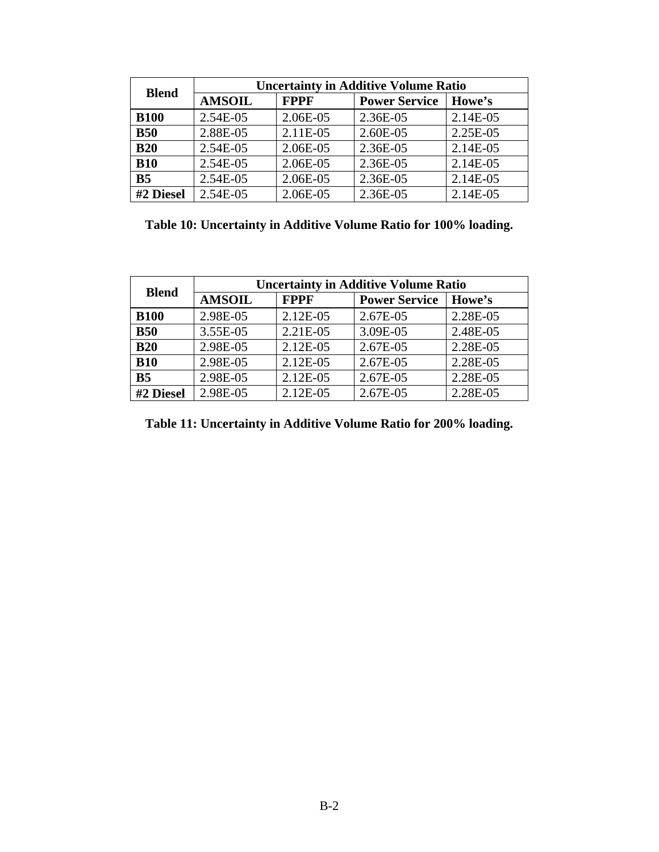| <b>Blend</b>   |               | <b>Uncertainty in Additive Volume Ratio</b> |                      |          |  |  |  |  |  |  |  |  |
|----------------|---------------|---------------------------------------------|----------------------|----------|--|--|--|--|--|--|--|--|
|                | <b>AMSOIL</b> | <b>FPPF</b>                                 | <b>Power Service</b> | Howe's   |  |  |  |  |  |  |  |  |
| <b>B100</b>    | 2.54E-05      | 2.06E-05                                    | 2.36E-05             | 2.14E-05 |  |  |  |  |  |  |  |  |
| <b>B50</b>     | 2.88E-05      | 2.11E-05                                    | 2.60E-05             | 2.25E-05 |  |  |  |  |  |  |  |  |
| <b>B20</b>     | 2.54E-05      | 2.06E-05                                    | 2.36E-05             | 2.14E-05 |  |  |  |  |  |  |  |  |
| <b>B10</b>     | 2.54E-05      | 2.06E-05                                    | 2.36E-05             | 2.14E-05 |  |  |  |  |  |  |  |  |
| B <sub>5</sub> | 2.54E-05      | 2.06E-05                                    | 2.36E-05             | 2.14E-05 |  |  |  |  |  |  |  |  |
| #2 Diesel      | 2.54E-05      | 2.06E-05                                    | 2.36E-05             | 2.14E-05 |  |  |  |  |  |  |  |  |

**Table 10: Uncertainty in Additive Volume Ratio for 100% loading.** 

| <b>Blend</b>   | <b>Uncertainty in Additive Volume Ratio</b> |             |                      |          |  |  |  |  |  |  |  |
|----------------|---------------------------------------------|-------------|----------------------|----------|--|--|--|--|--|--|--|
|                | <b>AMSOIL</b>                               | <b>FPPF</b> | <b>Power Service</b> | Howe's   |  |  |  |  |  |  |  |
| <b>B100</b>    | 2.98E-05                                    | 2.12E-05    | 2.67E-05             | 2.28E-05 |  |  |  |  |  |  |  |
| <b>B50</b>     | 3.55E-05                                    | 2.21E-05    | 3.09E-05             | 2.48E-05 |  |  |  |  |  |  |  |
| <b>B20</b>     | 2.98E-05                                    | 2.12E-05    | 2.67E-05             | 2.28E-05 |  |  |  |  |  |  |  |
| <b>B10</b>     | 2.98E-05                                    | 2.12E-05    | 2.67E-05             | 2.28E-05 |  |  |  |  |  |  |  |
| B <sub>5</sub> | 2.98E-05                                    | 2.12E-05    | 2.67E-05             | 2.28E-05 |  |  |  |  |  |  |  |
| #2 Diesel      | 2.98E-05                                    | 2.12E-05    | 2.67E-05             | 2.28E-05 |  |  |  |  |  |  |  |

**Table 11: Uncertainty in Additive Volume Ratio for 200% loading.**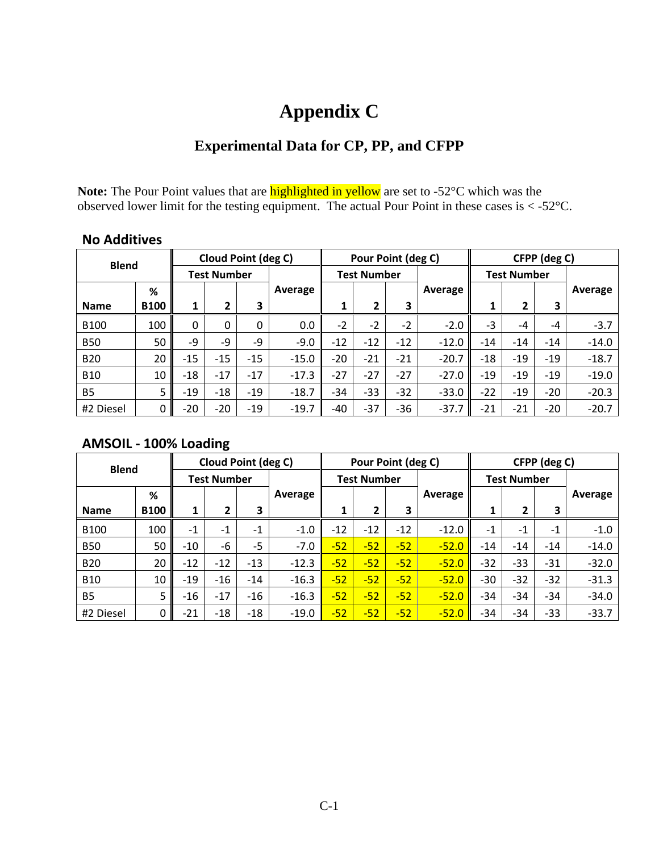# **Appendix C**

## **Experimental Data for CP, PP, and CFPP**

Note: The Pour Point values that are **highlighted in yellow** are set to -52°C which was the observed lower limit for the testing equipment. The actual Pour Point in these cases is  $\langle -52^{\circ}$ C.

## **No Additives**

| <b>Blend</b> |             |          | Cloud Point (deg C) |       |         |       | Pour Point (deg C) |       |         |                    |                | CFPP (deg C) |         |
|--------------|-------------|----------|---------------------|-------|---------|-------|--------------------|-------|---------|--------------------|----------------|--------------|---------|
|              |             |          | <b>Test Number</b>  |       |         |       | <b>Test Number</b> |       |         | <b>Test Number</b> |                |              |         |
|              | %           |          |                     |       | Average |       |                    |       | Average |                    |                |              | Average |
| <b>Name</b>  | <b>B100</b> | 1        | $\overline{2}$      | 3     |         | 1     | 2                  | 3     |         |                    | $\overline{2}$ | 3            |         |
| <b>B100</b>  | 100         | $\Omega$ | $\Omega$            | 0     | 0.0     | $-2$  | $-2$               | $-2$  | $-2.0$  | $-3$               | $-4$           | $-4$         | $-3.7$  |
| <b>B50</b>   | 50          | $-9$     | -9                  | -9    | $-9.0$  | $-12$ | $-12$              | $-12$ | $-12.0$ | $-14$              | $-14$          | $-14$        | $-14.0$ |
| <b>B20</b>   | 20          | $-15$    | $-15$               | $-15$ | $-15.0$ | $-20$ | $-21$              | $-21$ | $-20.7$ | $-18$              | $-19$          | $-19$        | $-18.7$ |
| <b>B10</b>   | 10          | $-18$    | $-17$               | $-17$ | $-17.3$ | $-27$ | $-27$              | $-27$ | $-27.0$ | $-19$              | $-19$          | $-19$        | $-19.0$ |
| <b>B5</b>    | 5           | $-19$    | $-18$               | $-19$ | $-18.7$ | $-34$ | $-33$              | $-32$ | $-33.0$ | $-22$              | $-19$          | $-20$        | $-20.3$ |
| #2 Diesel    | 0           | $-20$    | $-20$               | $-19$ | $-19.7$ | $-40$ | $-37$              | $-36$ | $-37.7$ | $-21$              | $-21$          | $-20$        | $-20.7$ |

### **AMSOIL ‐ 100% Loading**

| <b>Blend</b> |                    |       | Cloud Point (deg C) |       |         |       | Pour Point (deg C) |       |         |                    |       | CFPP (deg C) |         |
|--------------|--------------------|-------|---------------------|-------|---------|-------|--------------------|-------|---------|--------------------|-------|--------------|---------|
|              | <b>Test Number</b> |       |                     |       |         |       | <b>Test Number</b> |       |         | <b>Test Number</b> |       |              |         |
|              | %                  |       |                     |       | Average |       |                    |       | Average |                    |       |              | Average |
| <b>Name</b>  | <b>B100</b>        | 1     | 2                   | 3     |         | 1     | $\overline{2}$     | 3     |         |                    | 2     | 3            |         |
| <b>B100</b>  | 100                | $-1$  | $-1$                | $-1$  | $-1.0$  | $-12$ | $-12$              | $-12$ | $-12.0$ | $-1$               | $-1$  | $-1$         | $-1.0$  |
| <b>B50</b>   | 50                 | $-10$ | -6                  | $-5$  | $-7.0$  | $-52$ | $-52$              | $-52$ | $-52.0$ | $-14$              | $-14$ | $-14$        | $-14.0$ |
| <b>B20</b>   | 20                 | $-12$ | $-12$               | $-13$ | $-12.3$ | $-52$ | $-52$              | $-52$ | $-52.0$ | $-32$              | $-33$ | $-31$        | $-32.0$ |
| <b>B10</b>   | 10                 | $-19$ | $-16$               | $-14$ | $-16.3$ | $-52$ | $-52$              | $-52$ | $-52.0$ | -30                | $-32$ | $-32$        | $-31.3$ |
| <b>B5</b>    | 5                  | $-16$ | $-17$               | $-16$ | $-16.3$ | $-52$ | $-52$              | $-52$ | $-52.0$ | $-34$              | $-34$ | -34          | $-34.0$ |
| #2 Diesel    | 0                  | $-21$ | $-18$               | $-18$ | $-19.0$ | $-52$ | $-52$              | $-52$ | $-52.0$ | $-34$              | $-34$ | $-33$        | $-33.7$ |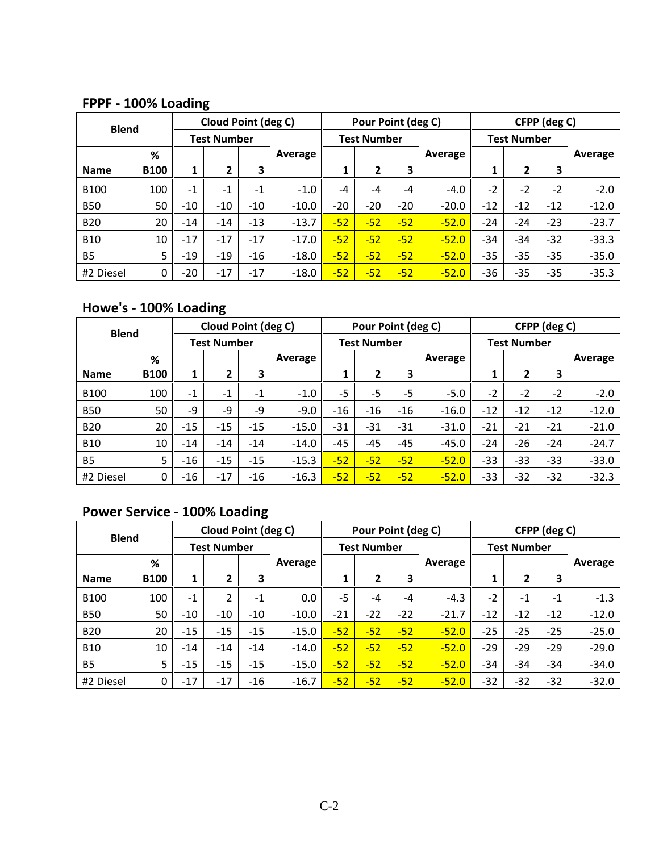**FPPF ‐ 100% Loading**

| <b>Blend</b> |             |       | <b>Cloud Point (deg C)</b> |       |         |                    | Pour Point (deg C) |       |         |                    |       | CFPP (deg C) |         |
|--------------|-------------|-------|----------------------------|-------|---------|--------------------|--------------------|-------|---------|--------------------|-------|--------------|---------|
|              |             |       | <b>Test Number</b>         |       |         | <b>Test Number</b> |                    |       |         | <b>Test Number</b> |       |              |         |
|              | %           |       |                            |       | Average |                    |                    |       | Average |                    |       |              | Average |
| <b>Name</b>  | <b>B100</b> | 1     | 2                          | 3     |         | 1                  | 2                  | 3     |         | 1                  | 2     | 3            |         |
| <b>B100</b>  | 100         | $-1$  | $-1$                       | $-1$  | $-1.0$  | $-4$               | $-4$               | $-4$  | $-4.0$  | $-2$               | $-2$  | $-2$         | $-2.0$  |
| <b>B50</b>   | 50          | $-10$ | $-10$                      | $-10$ | $-10.0$ | $-20$              | $-20$              | $-20$ | $-20.0$ | $-12$              | $-12$ | $-12$        | $-12.0$ |
| <b>B20</b>   | 20          | $-14$ | $-14$                      | $-13$ | $-13.7$ | $-52$              | $-52$              | $-52$ | $-52.0$ | $-24$              | $-24$ | $-23$        | $-23.7$ |
| <b>B10</b>   | 10          | $-17$ | $-17$                      | $-17$ | $-17.0$ | $-52$              | $-52$              | $-52$ | $-52.0$ | $-34$              | $-34$ | $-32$        | $-33.3$ |
| <b>B5</b>    | 5           | $-19$ | $-19$                      | $-16$ | $-18.0$ | $-52$              | $-52$              | $-52$ | $-52.0$ | $-35$              | $-35$ | $-35$        | $-35.0$ |
| #2 Diesel    | 0           | $-20$ | $-17$                      | $-17$ | $-18.0$ | $-52$              | $-52$              | $-52$ | $-52.0$ | $-36$              | $-35$ | $-35$        | $-35.3$ |

# **Howe's ‐ 100% Loading**

| <b>Blend</b> |             |       | Cloud Point (deg C) |       |         |       | Pour Point (deg C) |       |         |                    |       | CFPP (deg C) |         |
|--------------|-------------|-------|---------------------|-------|---------|-------|--------------------|-------|---------|--------------------|-------|--------------|---------|
|              |             |       | <b>Test Number</b>  |       |         |       | <b>Test Number</b> |       |         | <b>Test Number</b> |       |              |         |
|              | %           |       |                     |       | Average |       |                    |       | Average |                    |       |              | Average |
| <b>Name</b>  | <b>B100</b> | 1     | 2                   | 3     |         | 1     | 2                  | З     |         |                    | 2     | 3            |         |
| <b>B100</b>  | 100         | $-1$  | $-1$                | $-1$  | $-1.0$  | $-5$  | $-5$               | $-5$  | $-5.0$  | $-2$               | $-2$  | $-2$         | $-2.0$  |
| <b>B50</b>   | 50          | $-9$  | $-9$                | $-9$  | $-9.0$  | $-16$ | $-16$              | $-16$ | $-16.0$ | $-12$              | $-12$ | $-12$        | $-12.0$ |
| <b>B20</b>   | 20          | $-15$ | $-15$               | $-15$ | $-15.0$ | $-31$ | -31                | $-31$ | $-31.0$ | $-21$              | $-21$ | $-21$        | $-21.0$ |
| <b>B10</b>   | 10          | $-14$ | $-14$               | $-14$ | $-14.0$ | $-45$ | -45                | $-45$ | $-45.0$ | $-24$              | $-26$ | $-24$        | $-24.7$ |
| <b>B5</b>    | 5           | $-16$ | $-15$               | $-15$ | $-15.3$ | $-52$ | $-52$              | $-52$ | $-52.0$ | -33                | $-33$ | $-33$        | $-33.0$ |
| #2 Diesel    | 0           | $-16$ | $-17$               | $-16$ | $-16.3$ | $-52$ | $-52$              | $-52$ | $-52.0$ | $-33$              | $-32$ | $-32$        | $-32.3$ |

# **Power Service ‐ 100% Loading**

| <b>Blend</b>   |                    | Cloud Point (deg C) |                |       |                    |       | Pour Point (deg C) |       |                    | CFPP (deg C) |       |       |         |  |
|----------------|--------------------|---------------------|----------------|-------|--------------------|-------|--------------------|-------|--------------------|--------------|-------|-------|---------|--|
|                | <b>Test Number</b> |                     |                |       | <b>Test Number</b> |       |                    |       | <b>Test Number</b> |              |       |       |         |  |
|                | %                  |                     |                |       | Average            |       |                    |       | Average            |              |       |       | Average |  |
| <b>Name</b>    | <b>B100</b>        | 1                   | 2              | 3     |                    | 1     | 2                  | 3     |                    | 4            | 2     | 3     |         |  |
| <b>B100</b>    | 100                | $-1$                | $\overline{2}$ | $-1$  | 0.0                | $-5$  | $-4$               | $-4$  | $-4.3$             | $-2$         | $-1$  | $-1$  | $-1.3$  |  |
| <b>B50</b>     | 50                 | $-10$               | $-10$          | $-10$ | $-10.0$            | $-21$ | $-22$              | $-22$ | $-21.7$            | $-12$        | $-12$ | $-12$ | $-12.0$ |  |
| <b>B20</b>     | 20                 | $-15$               | $-15$          | $-15$ | $-15.0$            | $-52$ | $-52$              | $-52$ | $-52.0$            | $-25$        | $-25$ | $-25$ | $-25.0$ |  |
| <b>B10</b>     | 10                 | $-14$               | $-14$          | $-14$ | $-14.0$            | $-52$ | $-52$              | $-52$ | $-52.0$            | $-29$        | $-29$ | $-29$ | $-29.0$ |  |
| B <sub>5</sub> | 5                  | $-15$               | $-15$          | $-15$ | $-15.0$            | $-52$ | $-52$              | $-52$ | $-52.0$            | $-34$        | $-34$ | $-34$ | $-34.0$ |  |
| #2 Diesel      | 0                  | $-17$               | $-17$          | $-16$ | $-16.7$            | $-52$ | $-52$              | $-52$ | $-52.0$            | $-32$        | $-32$ | $-32$ | $-32.0$ |  |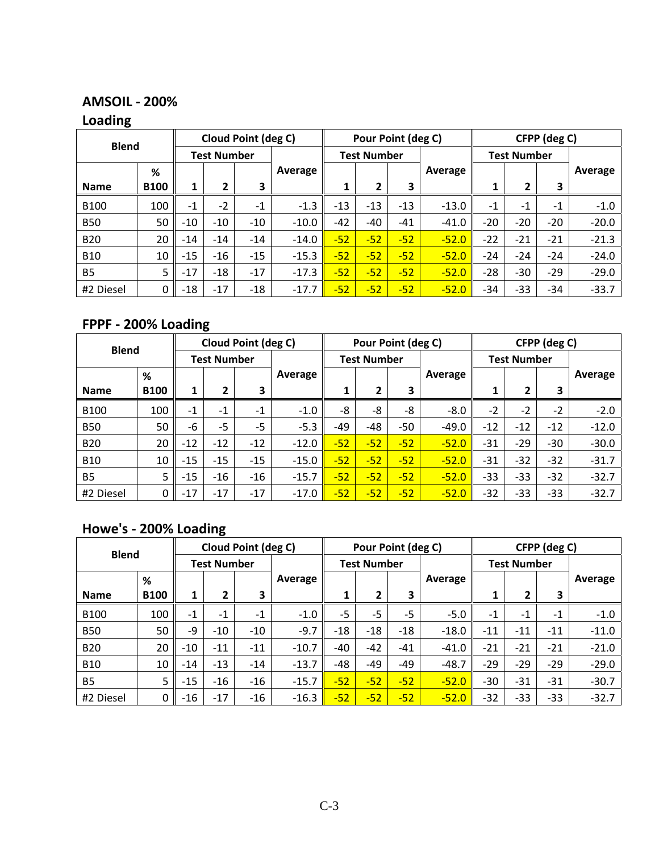## **AMSOIL ‐ 200%**

## **Loading**

|              |             | Cloud Point (deg C) |       |       |         |                    | Pour Point (deg C) |       |         | CFPP (deg C)       |       |       |         |  |
|--------------|-------------|---------------------|-------|-------|---------|--------------------|--------------------|-------|---------|--------------------|-------|-------|---------|--|
| <b>Blend</b> |             | <b>Test Number</b>  |       |       |         | <b>Test Number</b> |                    |       |         | <b>Test Number</b> |       |       |         |  |
|              | %           |                     |       |       | Average |                    |                    |       | Average |                    |       |       | Average |  |
| <b>Name</b>  | <b>B100</b> | 1                   | 2     | 3     |         | 1                  | 2                  | 3     |         |                    | 2     | З     |         |  |
| <b>B100</b>  | 100         | $-1$                | $-2$  | $-1$  | $-1.3$  | $-13$              | $-13$              | $-13$ | $-13.0$ | $-1$               | $-1$  | $-1$  | $-1.0$  |  |
| <b>B50</b>   | 50          | $-10$               | $-10$ | $-10$ | $-10.0$ | $-42$              | -40                | $-41$ | $-41.0$ | $-20$              | $-20$ | $-20$ | $-20.0$ |  |
| <b>B20</b>   | 20          | $-14$               | $-14$ | $-14$ | $-14.0$ | $-52$              | $-52$              | $-52$ | $-52.0$ | $-22$              | $-21$ | $-21$ | $-21.3$ |  |
| <b>B10</b>   | 10          | $-15$               | $-16$ | $-15$ | $-15.3$ | $-52$              | $-52$              | $-52$ | $-52.0$ | $-24$              | $-24$ | $-24$ | $-24.0$ |  |
| <b>B5</b>    | 5           | $-17$               | $-18$ | $-17$ | $-17.3$ | $-52$              | $-52$              | $-52$ | $-52.0$ | $-28$              | $-30$ | $-29$ | $-29.0$ |  |
| #2 Diesel    | $\mathbf 0$ | $-18$               | $-17$ | $-18$ | $-17.7$ | $-52$              | $-52$              | $-52$ | $-52.0$ | -34                | $-33$ | $-34$ | $-33.7$ |  |

# **FPPF ‐ 200% Loading**

| <b>Blend</b> |             | Cloud Point (deg C) |       |       |         |                    | Pour Point (deg C) |       |         | CFPP (deg C)       |       |       |         |  |
|--------------|-------------|---------------------|-------|-------|---------|--------------------|--------------------|-------|---------|--------------------|-------|-------|---------|--|
|              |             | <b>Test Number</b>  |       |       |         | <b>Test Number</b> |                    |       |         | <b>Test Number</b> |       |       |         |  |
|              | %           |                     |       |       | Average |                    |                    |       | Average |                    |       |       | Average |  |
| <b>Name</b>  | <b>B100</b> | 1                   | 2     | 3     |         | 1                  | 2                  | З     |         | л                  | 2     | 3     |         |  |
| <b>B100</b>  | 100         | $-1$                | $-1$  | $-1$  | $-1.0$  | -8                 | -8                 | -8    | $-8.0$  | $-2$               | $-2$  | $-2$  | $-2.0$  |  |
| <b>B50</b>   | 50          | $-6$                | $-5$  | $-5$  | $-5.3$  | -49                | -48                | $-50$ | $-49.0$ | $-12$              | $-12$ | $-12$ | $-12.0$ |  |
| <b>B20</b>   | 20          | $-12$               | $-12$ | $-12$ | $-12.0$ | $-52$              | $-52$              | $-52$ | $-52.0$ | $-31$              | $-29$ | $-30$ | $-30.0$ |  |
| <b>B10</b>   | 10          | $-15$               | $-15$ | $-15$ | $-15.0$ | $-52$              | $-52$              | $-52$ | $-52.0$ | $-31$              | $-32$ | $-32$ | $-31.7$ |  |
| <b>B5</b>    | 5           | $-15$               | $-16$ | $-16$ | $-15.7$ | $-52$              | $-52$              | $-52$ | $-52.0$ | $-33$              | $-33$ | $-32$ | $-32.7$ |  |
| #2 Diesel    | 0           | $-17$               | $-17$ | $-17$ | $-17.0$ | $-52$              | $-52$              | $-52$ | $-52.0$ | $-32$              | $-33$ | $-33$ | $-32.7$ |  |

# **Howe's ‐ 200% Loading**

| <b>Blend</b> |             | Cloud Point (deg C) |       |       |         |                    | Pour Point (deg C) |       |         | CFPP (deg C)       |       |       |         |  |
|--------------|-------------|---------------------|-------|-------|---------|--------------------|--------------------|-------|---------|--------------------|-------|-------|---------|--|
|              |             | <b>Test Number</b>  |       |       |         | <b>Test Number</b> |                    |       |         | <b>Test Number</b> |       |       |         |  |
|              | %           |                     |       |       | Average |                    |                    |       | Average |                    |       |       | Average |  |
| <b>Name</b>  | <b>B100</b> | 1                   | 2     | 3     |         | 1                  | 2                  | 3     |         |                    | 2     | З     |         |  |
| <b>B100</b>  | 100         | $-1$                | $-1$  | $-1$  | $-1.0$  | $-5$               | $-5$               | $-5$  | $-5.0$  | $-1$               | $-1$  | $-1$  | $-1.0$  |  |
| <b>B50</b>   | 50          | $-9$                | $-10$ | $-10$ | $-9.7$  | $-18$              | $-18$              | $-18$ | $-18.0$ | $-11$              | $-11$ | $-11$ | $-11.0$ |  |
| <b>B20</b>   | 20          | $-10$               | $-11$ | $-11$ | $-10.7$ | $-40$              | $-42$              | $-41$ | $-41.0$ | $-21$              | $-21$ | $-21$ | $-21.0$ |  |
| <b>B10</b>   | 10          | $-14$               | $-13$ | $-14$ | $-13.7$ | -48                | -49                | $-49$ | $-48.7$ | $-29$              | $-29$ | $-29$ | $-29.0$ |  |
| <b>B5</b>    | 5           | $-15$               | $-16$ | $-16$ | $-15.7$ | $-52$              | $-52$              | $-52$ | $-52.0$ | $-30$              | $-31$ | $-31$ | $-30.7$ |  |
| #2 Diesel    | 0           | $-16$               | $-17$ | $-16$ | $-16.3$ | $-52$              | $-52$              | $-52$ | $-52.0$ | $-32$              | $-33$ | $-33$ | $-32.7$ |  |